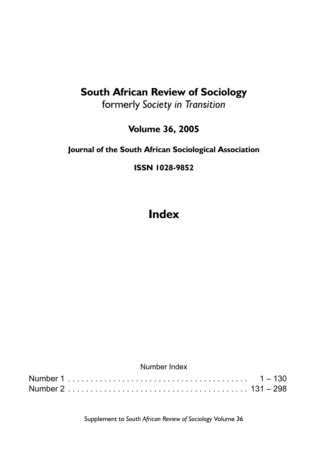### **South African Review of Sociology**

formerly *Society in Transition*

**Volume 36, 2005**

### **Journal of the South African Sociological Association**

**ISSN 1028-9852**

## **Index**

|  | Number Index |  |
|--|--------------|--|
|  |              |  |
|  |              |  |

Supplement to *South African Review of Sociology* Volume 36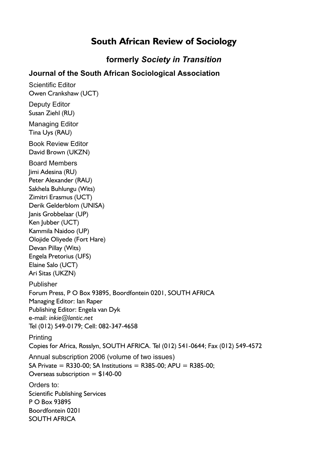### **South African Review of Sociology**

**formerly** *Society in Transition*

#### **Journal of the South African Sociological Association**

Scientific Editor Owen Crankshaw (UCT) Deputy Editor Susan Ziehl (RU) Managing Editor Tina Uys (RAU) Book Review Editor David Brown (UKZN) Board Members Jimi Adesina (RU) Peter Alexander (RAU) Sakhela Buhlungu (Wits) Zimitri Erasmus (UCT) Derik Gelderblom (UNISA) Janis Grobbelaar (UP) Ken Jubber (UCT) Kammila Naidoo (UP) Olojide Oliyede (Fort Hare) Devan Pillay (Wits) Engela Pretorius (UFS) Elaine Salo (UCT) Ari Sitas (UKZN) Publisher Forum Press, P O Box 93895, Boordfontein 0201, SOUTH AFRICA Managing Editor: Ian Raper Publishing Editor: Engela van Dyk e-mail: *inkie@lantic.net*  Tel (012) 549-0179; Cell: 082-347-4658 Printing Copies for Africa, Rosslyn, SOUTH AFRICA. Tel (012) 541-0644; Fax (012) 549-4572 Annual subscription 2006 (volume of two issues) SA Private =  $R330-00$ ; SA Institutions =  $R385-00$ ; APU =  $R385-00$ ; Overseas subscription  $= $140-00$ Orders to: Scientific Publishing Services P O Box 93895 Boordfontein 0201 SOUTH AFRICA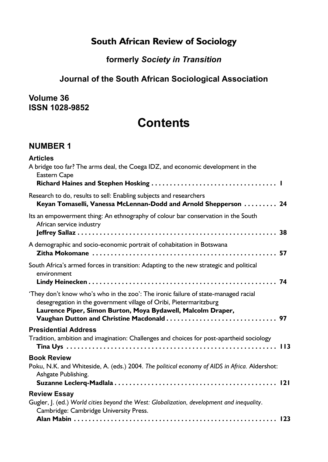### **South African Review of Sociology**

### **formerly** *Society in Transition*

### **Journal of the South African Sociological Association**

#### **Volume 36 ISSN 1028-9852**

## **Contents**

### **NUMBER 1**

| <b>Articles</b><br>A bridge too far? The arms deal, the Coega IDZ, and economic development in the<br>Eastern Cape                                                                                                       |
|--------------------------------------------------------------------------------------------------------------------------------------------------------------------------------------------------------------------------|
| Research to do, results to sell: Enabling subjects and researchers<br>Keyan Tomaselli, Vanessa McLennan-Dodd and Arnold Shepperson  24                                                                                   |
| Its an empowerment thing: An ethnography of colour bar conservation in the South<br>African service industry                                                                                                             |
| A demographic and socio-economic portrait of cohabitation in Botswana                                                                                                                                                    |
| South Africa's armed forces in transition: Adapting to the new strategic and political<br>environment                                                                                                                    |
| 'They don't know who's who in the zoo': The ironic failure of state-managed racial<br>desegregation in the government village of Oribi, Pietermaritzburg<br>Laurence Piper, Simon Burton, Moya Bydawell, Malcolm Draper, |
| <b>Presidential Address</b>                                                                                                                                                                                              |
| Tradition, ambition and imagination: Challenges and choices for post-apartheid sociology                                                                                                                                 |
| <b>Book Review</b><br>Poku, N.K. and Whiteside, A. (eds.) 2004. The political economy of AIDS in Africa. Aldershot:<br>Ashgate Publishing.                                                                               |
| <b>Review Essay</b>                                                                                                                                                                                                      |
| Gugler, J. (ed.) World cities beyond the West: Globalization, development and inequality.<br>Cambridge: Cambridge University Press.                                                                                      |
|                                                                                                                                                                                                                          |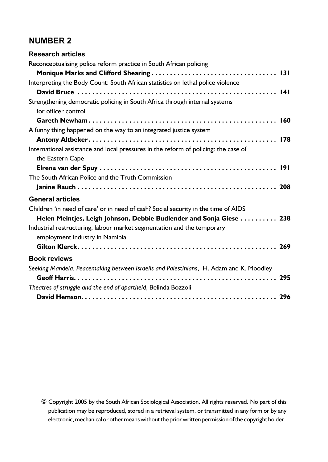### **NUMBER 2**

| <b>Research articles</b>                                                                                 |
|----------------------------------------------------------------------------------------------------------|
| Reconceptualising police reform practice in South African policing                                       |
|                                                                                                          |
| Interpreting the Body Count: South African statistics on lethal police violence                          |
|                                                                                                          |
| Strengthening democratic policing in South Africa through internal systems<br>for officer control        |
|                                                                                                          |
| A funny thing happened on the way to an integrated justice system                                        |
|                                                                                                          |
| International assistance and local pressures in the reform of policing: the case of<br>the Eastern Cape  |
|                                                                                                          |
| The South African Police and the Truth Commission                                                        |
|                                                                                                          |
| <b>General articles</b>                                                                                  |
| Children 'in need of care' or in need of cash? Social security in the time of AIDS                       |
| Helen Meintjes, Leigh Johnson, Debbie Budlender and Sonja Giese  238                                     |
| Industrial restructuring, labour market segmentation and the temporary<br>employment industry in Namibia |
|                                                                                                          |
| <b>Book reviews</b>                                                                                      |
| Seeking Mandela. Peacemaking between Israelis and Palestinians, H. Adam and K. Moodley                   |
|                                                                                                          |
| Theatres of struggle and the end of apartheid, Belinda Bozzoli                                           |
|                                                                                                          |

**©** Copyright 2005 by the South African Sociological Association. All rights reserved. No part of this publication may be reproduced, stored in a retrieval system, or transmitted in any form or by any electronic, mechanical or other means without the prior written permission of the copyright holder.